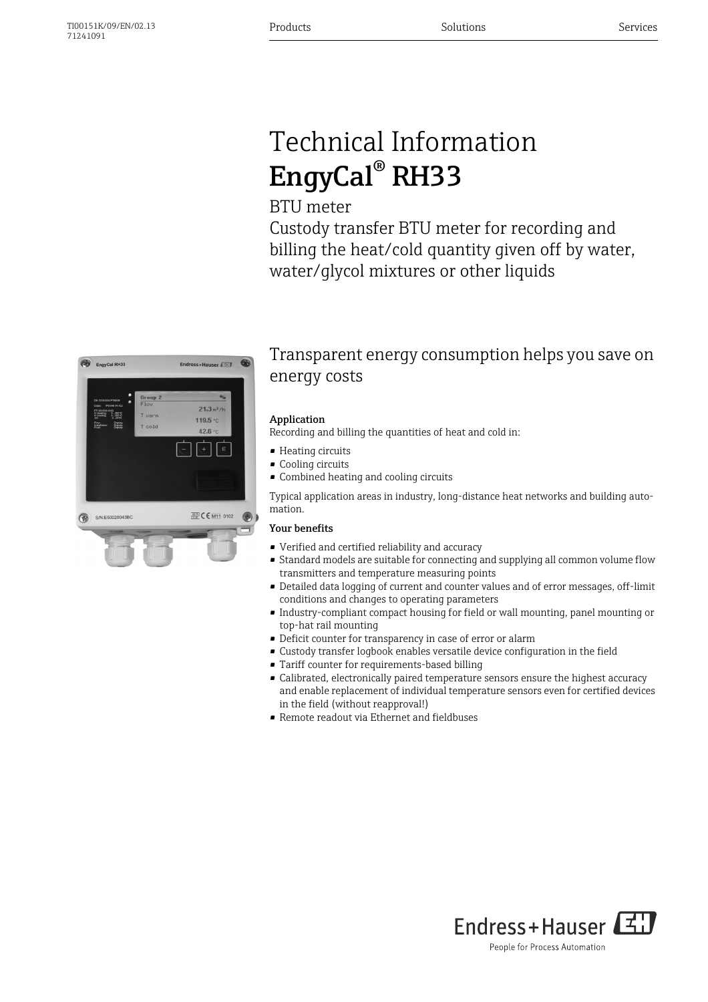# Technical Information EngyCal® RH33

### BTU meter

Custody transfer BTU meter for recording and billing the heat/cold quantity given off by water, water/glycol mixtures or other liquids



## Transparent energy consumption helps you save on energy costs

### Application

Recording and billing the quantities of heat and cold in:

- Heating circuits
- Cooling circuits
- Combined heating and cooling circuits

Typical application areas in industry, long-distance heat networks and building automation.

### Your benefits

- Verified and certified reliability and accuracy
- Standard models are suitable for connecting and supplying all common volume flow transmitters and temperature measuring points
- Detailed data logging of current and counter values and of error messages, off-limit conditions and changes to operating parameters
- Industry-compliant compact housing for field or wall mounting, panel mounting or top-hat rail mounting
- Deficit counter for transparency in case of error or alarm
- Custody transfer logbook enables versatile device configuration in the field
- Tariff counter for requirements-based billing
- Calibrated, electronically paired temperature sensors ensure the highest accuracy and enable replacement of individual temperature sensors even for certified devices in the field (without reapproval!)
- Remote readout via Ethernet and fieldbuses

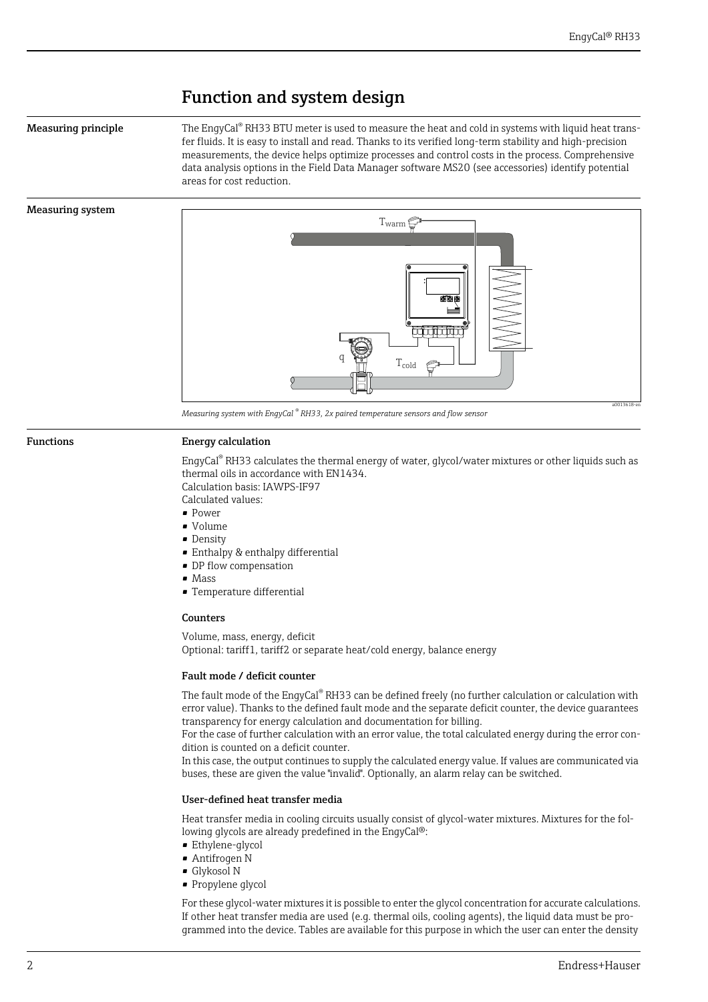### Function and system design

Measuring principle The EngyCal® RH33 BTU meter is used to measure the heat and cold in systems with liquid heat transfer fluids. It is easy to install and read. Thanks to its verified long-term stability and high-precision measurements, the device helps optimize processes and control costs in the process. Comprehensive data analysis options in the Field Data Manager software MS20 (see accessories) identify potential areas for cost reduction.

#### Measuring system



*Measuring system with EngyCal ® RH33, 2x paired temperature sensors and flow sensor*

#### Functions Energy calculation

EngyCal® RH33 calculates the thermal energy of water, glycol/water mixtures or other liquids such as thermal oils in accordance with EN1434.

Calculation basis: IAWPS-IF97 Calculated values:

- $\blacksquare$  Power
- Volume
- Density
- Enthalpy & enthalpy differential
- DP flow compensation
- Mass
- Temperature differential

#### **Counters**

Volume, mass, energy, deficit Optional: tariff1, tariff2 or separate heat/cold energy, balance energy

#### Fault mode / deficit counter

The fault mode of the EngyCal® RH33 can be defined freely (no further calculation or calculation with error value). Thanks to the defined fault mode and the separate deficit counter, the device guarantees transparency for energy calculation and documentation for billing.

For the case of further calculation with an error value, the total calculated energy during the error condition is counted on a deficit counter.

In this case, the output continues to supply the calculated energy value. If values are communicated via buses, these are given the value "invalid". Optionally, an alarm relay can be switched.

#### User-defined heat transfer media

Heat transfer media in cooling circuits usually consist of glycol-water mixtures. Mixtures for the following glycols are already predefined in the EngyCal®:

- Ethylene-glycol
- Antifrogen N
- Glykosol N
- Propylene glycol

For these glycol-water mixtures it is possible to enter the glycol concentration for accurate calculations. If other heat transfer media are used (e.g. thermal oils, cooling agents), the liquid data must be programmed into the device. Tables are available for this purpose in which the user can enter the density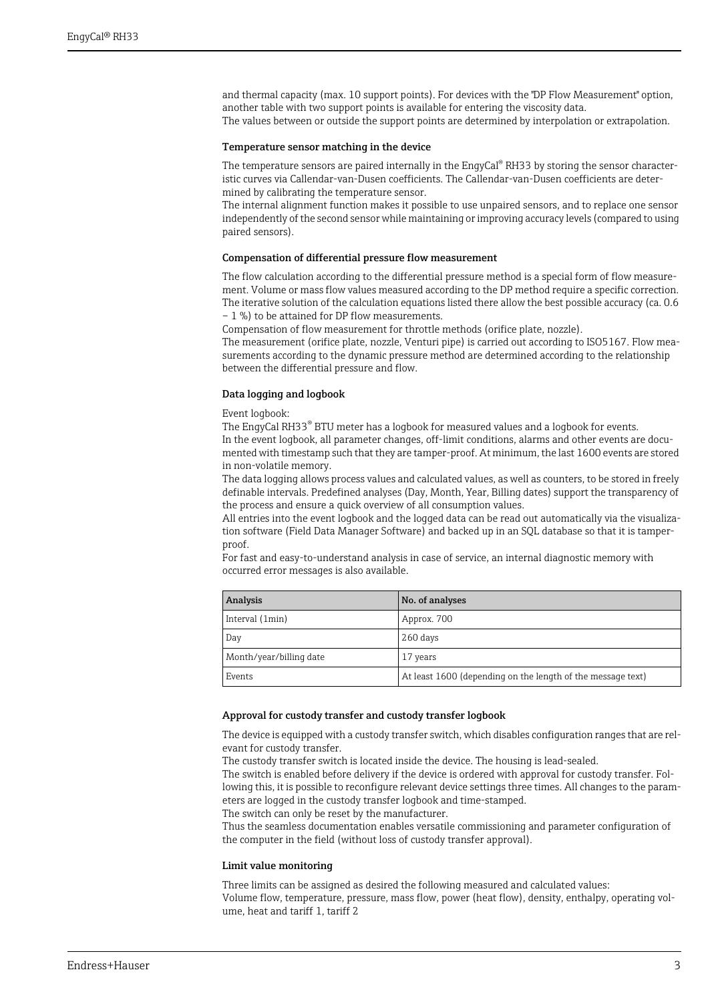and thermal capacity (max. 10 support points). For devices with the "DP Flow Measurement" option, another table with two support points is available for entering the viscosity data. The values between or outside the support points are determined by interpolation or extrapolation.

#### Temperature sensor matching in the device

The temperature sensors are paired internally in the EngyCal® RH33 by storing the sensor characteristic curves via Callendar-van-Dusen coefficients. The Callendar-van-Dusen coefficients are determined by calibrating the temperature sensor.

The internal alignment function makes it possible to use unpaired sensors, and to replace one sensor independently of the second sensor while maintaining or improving accuracy levels (compared to using paired sensors).

#### Compensation of differential pressure flow measurement

The flow calculation according to the differential pressure method is a special form of flow measurement. Volume or mass flow values measured according to the DP method require a specific correction. The iterative solution of the calculation equations listed there allow the best possible accuracy (ca. 0.6 – 1 %) to be attained for DP flow measurements.

Compensation of flow measurement for throttle methods (orifice plate, nozzle).

The measurement (orifice plate, nozzle, Venturi pipe) is carried out according to ISO5167. Flow measurements according to the dynamic pressure method are determined according to the relationship between the differential pressure and flow.

#### Data logging and logbook

#### Event logbook:

The EngyCal RH33® BTU meter has a logbook for measured values and a logbook for events.

In the event logbook, all parameter changes, off-limit conditions, alarms and other events are documented with timestamp such that they are tamper-proof. At minimum, the last 1600 events are stored in non-volatile memory.

The data logging allows process values and calculated values, as well as counters, to be stored in freely definable intervals. Predefined analyses (Day, Month, Year, Billing dates) support the transparency of the process and ensure a quick overview of all consumption values.

All entries into the event logbook and the logged data can be read out automatically via the visualization software (Field Data Manager Software) and backed up in an SQL database so that it is tamperproof.

For fast and easy-to-understand analysis in case of service, an internal diagnostic memory with occurred error messages is also available.

| Analysis                | No. of analyses                                             |
|-------------------------|-------------------------------------------------------------|
| Interval (1min)         | Approx. 700                                                 |
| Day                     | 260 days                                                    |
| Month/year/billing date | 17 years                                                    |
| Events                  | At least 1600 (depending on the length of the message text) |

#### Approval for custody transfer and custody transfer logbook

The device is equipped with a custody transfer switch, which disables configuration ranges that are relevant for custody transfer.

The custody transfer switch is located inside the device. The housing is lead-sealed.

The switch is enabled before delivery if the device is ordered with approval for custody transfer. Following this, it is possible to reconfigure relevant device settings three times. All changes to the parameters are logged in the custody transfer logbook and time-stamped.

The switch can only be reset by the manufacturer.

Thus the seamless documentation enables versatile commissioning and parameter configuration of the computer in the field (without loss of custody transfer approval).

#### Limit value monitoring

Three limits can be assigned as desired the following measured and calculated values: Volume flow, temperature, pressure, mass flow, power (heat flow), density, enthalpy, operating volume, heat and tariff 1, tariff 2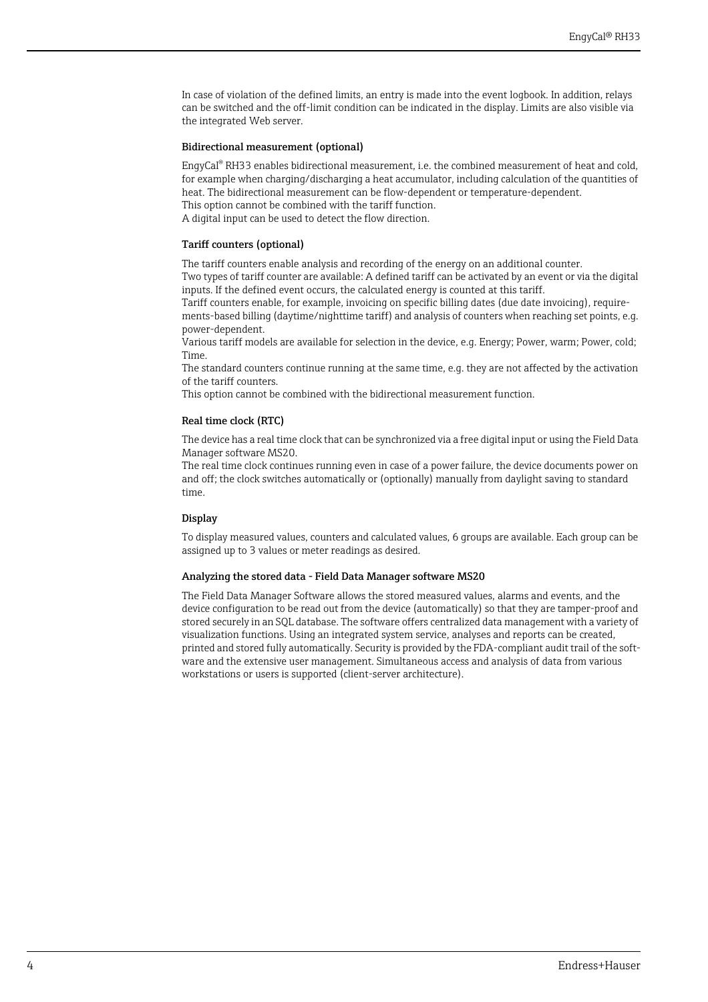In case of violation of the defined limits, an entry is made into the event logbook. In addition, relays can be switched and the off-limit condition can be indicated in the display. Limits are also visible via the integrated Web server.

#### Bidirectional measurement (optional)

EngyCal® RH33 enables bidirectional measurement, i.e. the combined measurement of heat and cold, for example when charging/discharging a heat accumulator, including calculation of the quantities of heat. The bidirectional measurement can be flow-dependent or temperature-dependent. This option cannot be combined with the tariff function.

A digital input can be used to detect the flow direction.

#### Tariff counters (optional)

The tariff counters enable analysis and recording of the energy on an additional counter.

Two types of tariff counter are available: A defined tariff can be activated by an event or via the digital inputs. If the defined event occurs, the calculated energy is counted at this tariff.

Tariff counters enable, for example, invoicing on specific billing dates (due date invoicing), requirements-based billing (daytime/nighttime tariff) and analysis of counters when reaching set points, e.g. power-dependent.

Various tariff models are available for selection in the device, e.g. Energy; Power, warm; Power, cold; Time.

The standard counters continue running at the same time, e.g. they are not affected by the activation of the tariff counters.

This option cannot be combined with the bidirectional measurement function.

#### Real time clock (RTC)

The device has a real time clock that can be synchronized via a free digital input or using the Field Data Manager software MS20.

The real time clock continues running even in case of a power failure, the device documents power on and off; the clock switches automatically or (optionally) manually from daylight saving to standard time.

#### **Display**

To display measured values, counters and calculated values, 6 groups are available. Each group can be assigned up to 3 values or meter readings as desired.

#### Analyzing the stored data - Field Data Manager software MS20

The Field Data Manager Software allows the stored measured values, alarms and events, and the device configuration to be read out from the device (automatically) so that they are tamper-proof and stored securely in an SQL database. The software offers centralized data management with a variety of visualization functions. Using an integrated system service, analyses and reports can be created, printed and stored fully automatically. Security is provided by the FDA-compliant audit trail of the software and the extensive user management. Simultaneous access and analysis of data from various workstations or users is supported (client-server architecture).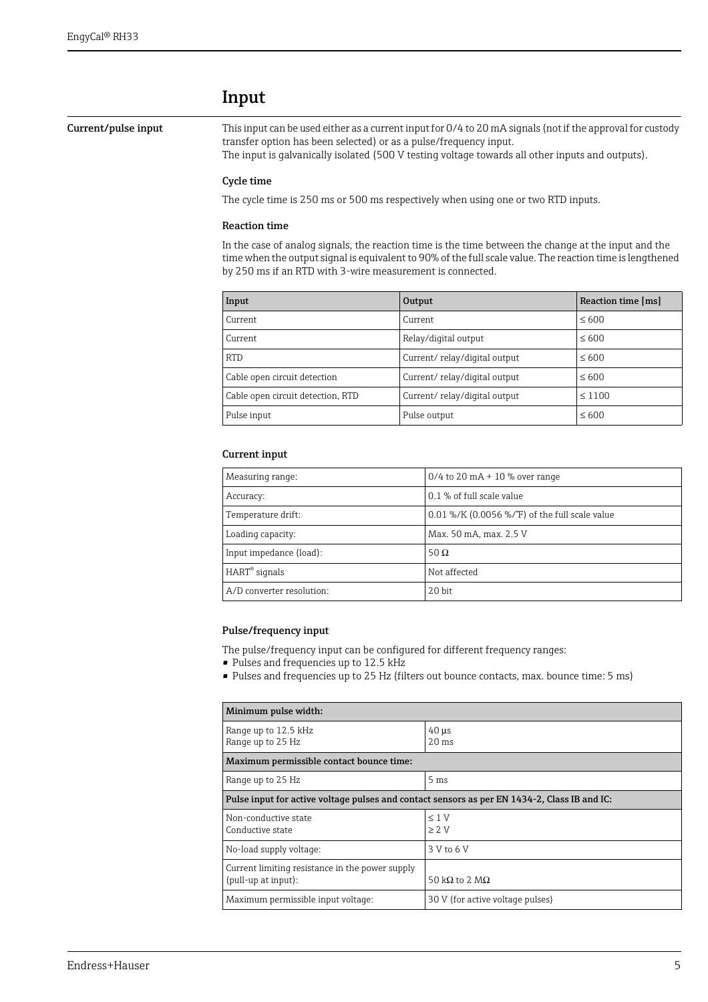### Input

Current/pulse input This input can be used either as a current input for 0/4 to 20 mA signals (not if the approval for custody transfer option has been selected) or as a pulse/frequency input.

The input is galvanically isolated (500 V testing voltage towards all other inputs and outputs).

#### Cycle time

The cycle time is 250 ms or 500 ms respectively when using one or two RTD inputs.

#### Reaction time

In the case of analog signals, the reaction time is the time between the change at the input and the time when the output signal is equivalent to 90% of the full scale value. The reaction time is lengthened by 250 ms if an RTD with 3-wire measurement is connected.

| Input                             | Output                       | Reaction time [ms] |
|-----------------------------------|------------------------------|--------------------|
| Current                           | Current                      | $\leq 600$         |
| Current                           | Relay/digital output         | $\leq 600$         |
| <b>RTD</b>                        | Current/relay/digital output | $\leq 600$         |
| Cable open circuit detection      | Current/relay/digital output | $\leq 600$         |
| Cable open circuit detection, RTD | Current/relay/digital output | $\leq 1100$        |
| Pulse input                       | Pulse output                 | $\leq 600$         |

#### Current input

| Measuring range:          | $0/4$ to 20 mA + 10 % over range               |
|---------------------------|------------------------------------------------|
| Accuracy:                 | 0.1 % of full scale value                      |
| Temperature drift:        | 0.01 %/K (0.0056 %/°F) of the full scale value |
| Loading capacity:         | Max. 50 mA, max. 2.5 V                         |
| Input impedance (load):   | 50 $\Omega$                                    |
| $HART^{\circ}$ signals    | Not affected                                   |
| A/D converter resolution: | 20 bit                                         |

#### Pulse/frequency input

The pulse/frequency input can be configured for different frequency ranges:

- Pulses and frequencies up to 12.5 kHz
- Pulses and frequencies up to 25 Hz (filters out bounce contacts, max. bounce time: 5 ms)

| Minimum pulse width:                                                                         |                                  |  |
|----------------------------------------------------------------------------------------------|----------------------------------|--|
| Range up to 12.5 kHz<br>Range up to 25 Hz                                                    | $40$ us<br>$20 \text{ ms}$       |  |
| Maximum permissible contact bounce time:                                                     |                                  |  |
| Range up to 25 Hz<br>5 <sub>ms</sub>                                                         |                                  |  |
| Pulse input for active voltage pulses and contact sensors as per EN 1434-2, Class IB and IC: |                                  |  |
| Non-conductive state<br>Conductive state                                                     | $\leq 1$ V<br>$\geq 2$ V         |  |
| No-load supply voltage:                                                                      | $3V$ to 6 V                      |  |
| Current limiting resistance in the power supply<br>(pull-up at input):                       | 50 k $\Omega$ to 2 M $\Omega$    |  |
| Maximum permissible input voltage:                                                           | 30 V (for active voltage pulses) |  |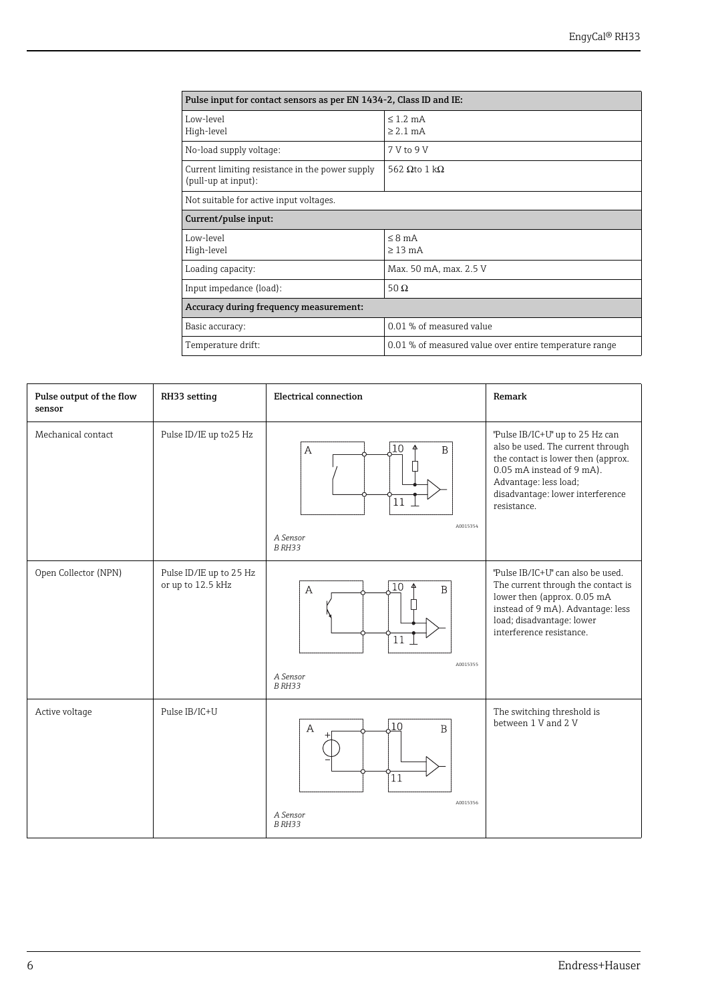| Pulse input for contact sensors as per EN 1434-2, Class ID and IE:     |                                                        |  |
|------------------------------------------------------------------------|--------------------------------------------------------|--|
| Low-level<br>High-level                                                | $\leq$ 1.2 mA<br>$\geq 2.1$ mA                         |  |
| No-load supply voltage:                                                | 7 V to 9 V                                             |  |
| Current limiting resistance in the power supply<br>(pull-up at input): | 562 Ωto 1 kΩ                                           |  |
| Not suitable for active input voltages.                                |                                                        |  |
| Current/pulse input:                                                   |                                                        |  |
| Low-level<br>High-level                                                | $\leq$ 8 mA<br>$\geq$ 13 mA                            |  |
| Loading capacity:                                                      | Max. 50 mA, max. 2.5 V                                 |  |
| Input impedance (load):                                                | 50 $\Omega$                                            |  |
| Accuracy during frequency measurement:                                 |                                                        |  |
| Basic accuracy:                                                        | 0.01 % of measured value                               |  |
| Temperature drift:                                                     | 0.01 % of measured value over entire temperature range |  |

| Pulse output of the flow<br>sensor | RH33 setting                                 | <b>Electrical connection</b>                                                              | Remark                                                                                                                                                                                                              |
|------------------------------------|----------------------------------------------|-------------------------------------------------------------------------------------------|---------------------------------------------------------------------------------------------------------------------------------------------------------------------------------------------------------------------|
| Mechanical contact                 | Pulse ID/IE up to25 Hz                       | $\, {\bf B}$<br>$\cup$<br>$\mathsf{A}$<br>11<br>A0015354<br>A Sensor<br>B RH33            | "Pulse IB/IC+U" up to 25 Hz can<br>also be used. The current through<br>the contact is lower then (approx.<br>0.05 mA instead of 9 mA).<br>Advantage: less load;<br>disadvantage: lower interference<br>resistance. |
| Open Collector (NPN)               | Pulse ID/IE up to 25 Hz<br>or up to 12.5 kHz | 0.<br>$\, {\bf B}$<br>$\mathcal{A}_{\mathcal{A}}$<br>11<br>A0015355<br>A Sensor<br>B RH33 | "Pulse IB/IC+U" can also be used.<br>The current through the contact is<br>lower then (approx. 0.05 mA<br>instead of 9 mA). Advantage: less<br>load; disadvantage: lower<br>interference resistance.                |
| Active voltage                     | Pulse IB/IC+U                                | 10<br>$\boldsymbol{A}$<br>B<br>11<br>A0015356<br>A Sensor<br>B RH33                       | The switching threshold is<br>between 1 V and 2 V                                                                                                                                                                   |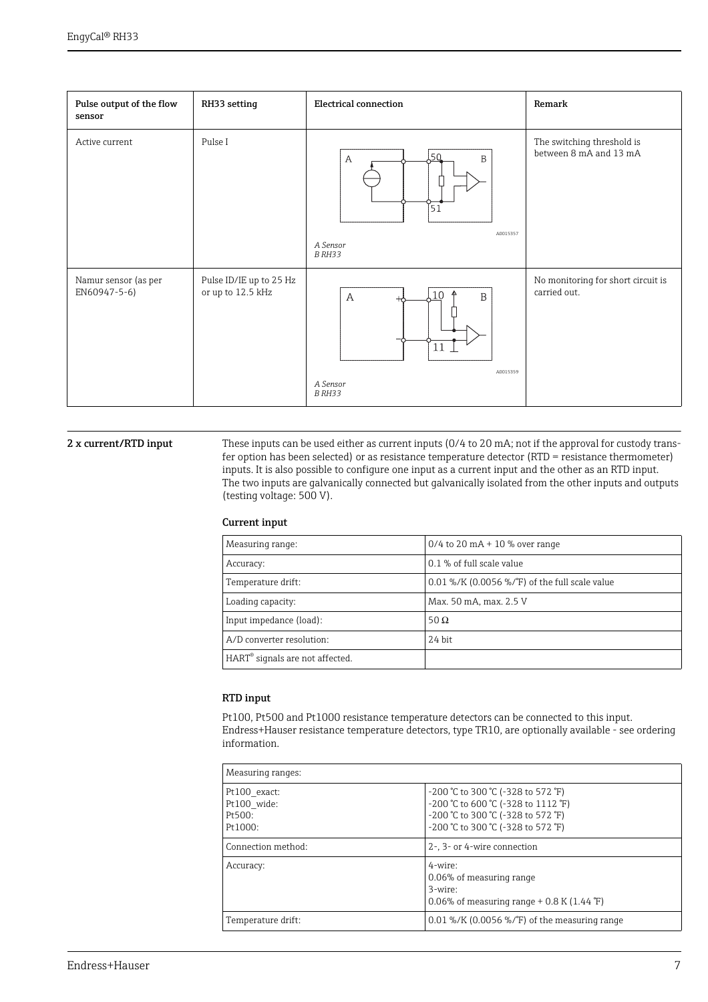| Pulse output of the flow<br>sensor   | RH33 setting                                 | <b>Electrical connection</b>                                | Remark                                               |
|--------------------------------------|----------------------------------------------|-------------------------------------------------------------|------------------------------------------------------|
| Active current                       | Pulse I                                      | <u> 50</u><br>B<br>А<br>$\sqrt{51}$<br>A0015357<br>A Sensor | The switching threshold is<br>between 8 mA and 13 mA |
|                                      |                                              | B RH33                                                      |                                                      |
| Namur sensor (as per<br>EN60947-5-6) | Pulse ID/IE up to 25 Hz<br>or up to 12.5 kHz | 10<br>4<br>$\mathbf B$<br>$\mathsf{A}$<br>11<br>A0015359    | No monitoring for short circuit is<br>carried out.   |
|                                      |                                              | A Sensor<br>B RH33                                          |                                                      |

2 x current/RTD input These inputs can be used either as current inputs (0/4 to 20 mA; not if the approval for custody transfer option has been selected) or as resistance temperature detector (RTD = resistance thermometer) inputs. It is also possible to configure one input as a current input and the other as an RTD input. The two inputs are galvanically connected but galvanically isolated from the other inputs and outputs (testing voltage: 500 V).

### Current input

| $0/4$ to 20 mA + 10 % over range               |
|------------------------------------------------|
| 0.1 % of full scale value                      |
| 0.01 %/K (0.0056 %/°F) of the full scale value |
| Max. 50 mA, max. 2.5 V                         |
| 50 $\Omega$                                    |
| 24 bit                                         |
|                                                |
|                                                |

#### RTD input

Pt100, Pt500 and Pt1000 resistance temperature detectors can be connected to this input. Endress+Hauser resistance temperature detectors, type TR10, are optionally available - see ordering information.

| Measuring ranges:                                |                                                                                                                                                                      |
|--------------------------------------------------|----------------------------------------------------------------------------------------------------------------------------------------------------------------------|
| Pt100 exact:<br>Pt100 wide:<br>Pt500:<br>Pt1000: | $-200$ °C to 300 °C ( $-328$ to 572 °F)<br>-200 °C to 600 °C (-328 to 1112 °F)<br>$-200$ °C to 300 °C ( $-328$ to 572 °F)<br>$-200$ °C to 300 °C ( $-328$ to 572 °F) |
| Connection method:                               | 2-, 3- or 4-wire connection                                                                                                                                          |
| Accuracy:                                        | 4-wire:<br>0.06% of measuring range<br>3-wire:<br>0.06% of measuring range $+$ 0.8 K (1.44 °F)                                                                       |
| Temperature drift:                               | $0.01\%$ /K (0.0056 %/°F) of the measuring range                                                                                                                     |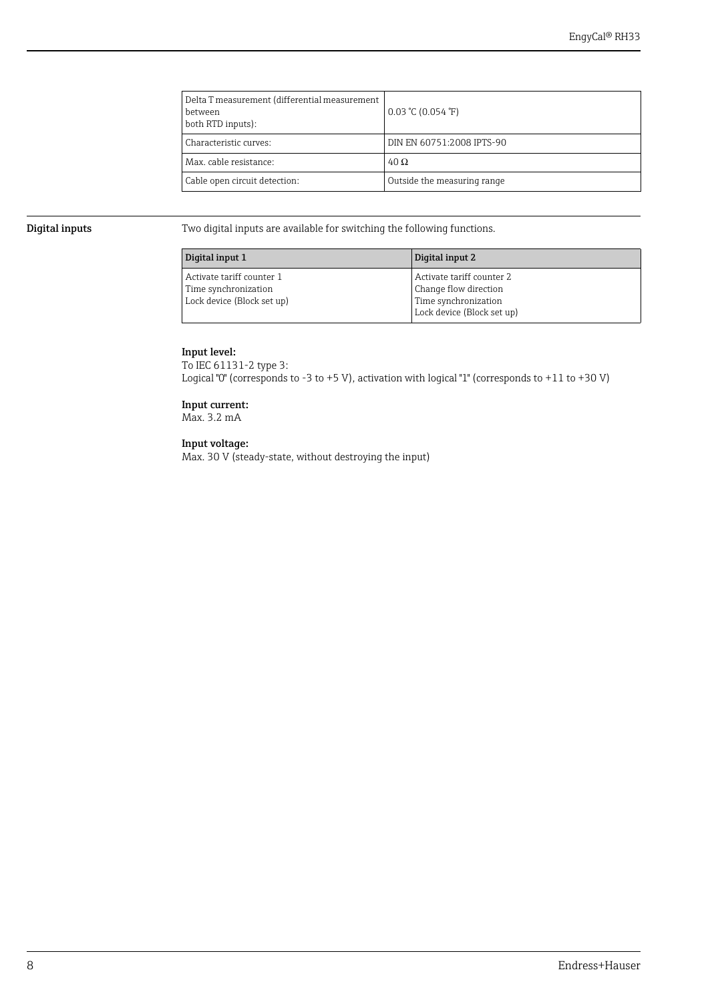| Delta T measurement (differential measurement<br>ı between<br>both RTD inputs): | $0.03$ °C (0.054 °F)        |
|---------------------------------------------------------------------------------|-----------------------------|
| Characteristic curves:                                                          | DIN EN 60751:2008 IPTS-90   |
| Max. cable resistance:                                                          | $40\,\Omega$                |
| Cable open circuit detection:                                                   | Outside the measuring range |

Digital inputs Two digital inputs are available for switching the following functions.

| Digital input 1                                                                 | Digital input 2                                                                                          |
|---------------------------------------------------------------------------------|----------------------------------------------------------------------------------------------------------|
| Activate tariff counter 1<br>Time synchronization<br>Lock device (Block set up) | Activate tariff counter 2<br>Change flow direction<br>Time synchronization<br>Lock device (Block set up) |

### Input level:

To IEC 61131-2 type 3: Logical "0" (corresponds to -3 to +5 V), activation with logical "1" (corresponds to +11 to +30 V)

#### Input current:

Max. 3.2 mA

#### Input voltage:

Max. 30 V (steady-state, without destroying the input)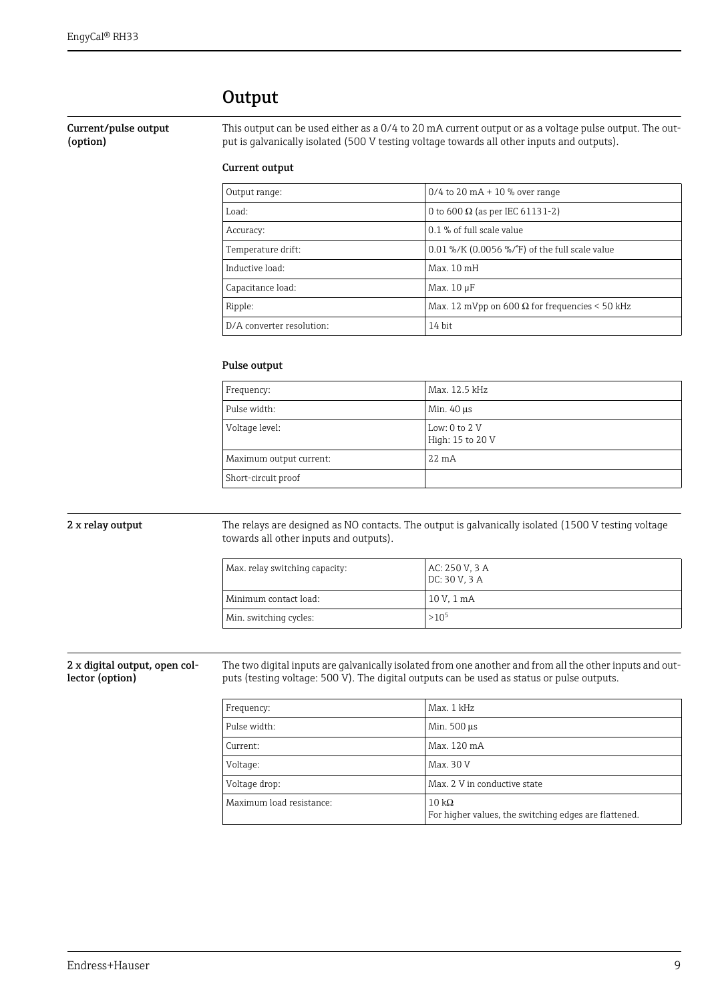### **Output**

Current/pulse output (option)

This output can be used either as a 0/4 to 20 mA current output or as a voltage pulse output. The output is galvanically isolated (500 V testing voltage towards all other inputs and outputs).

### Current output

| Output range:             | $0/4$ to 20 mA + 10 % over range                      |
|---------------------------|-------------------------------------------------------|
| Load:                     | 0 to 600 Ω (as per IEC 61131-2)                       |
| Accuracy:                 | 0.1 % of full scale value                             |
| Temperature drift:        | 0.01 %/K (0.0056 %/°F) of the full scale value        |
| Inductive load:           | Max. 10 mH                                            |
| Capacitance load:         | Max. 10 µF                                            |
| Ripple:                   | Max. 12 mVpp on 600 $\Omega$ for frequencies < 50 kHz |
| D/A converter resolution: | 14 bit                                                |

#### Pulse output

| Frequency:              | Max. 12.5 kHz                        |
|-------------------------|--------------------------------------|
| Pulse width:            | Min. 40 µs                           |
| Voltage level:          | Low: $0$ to $2V$<br>High: 15 to 20 V |
| Maximum output current: | $2.2 \text{ mA}$                     |
| Short-circuit proof     |                                      |

2 x relay output The relays are designed as NO contacts. The output is galvanically isolated (1500 V testing voltage towards all other inputs and outputs).

| Max, relay switching capacity: | AC: 250 V, 3 A<br>DC: 30 V, 3 A |
|--------------------------------|---------------------------------|
| Minimum contact load:          | 10 V. 1 mA                      |
| Min. switching cycles:         | $>10^{5}$                       |

#### 2 x digital output, open collector (option)

The two digital inputs are galvanically isolated from one another and from all the other inputs and outputs (testing voltage: 500 V). The digital outputs can be used as status or pulse outputs.

| Frequency:               | Max. 1 kHz                                                             |
|--------------------------|------------------------------------------------------------------------|
| Pulse width:             | Min. 500 µs                                                            |
| Current:                 | Max. 120 mA                                                            |
| Voltage:                 | Max. 30 V                                                              |
| Voltage drop:            | Max. 2 V in conductive state                                           |
| Maximum load resistance: | 10 k $\Omega$<br>For higher values, the switching edges are flattened. |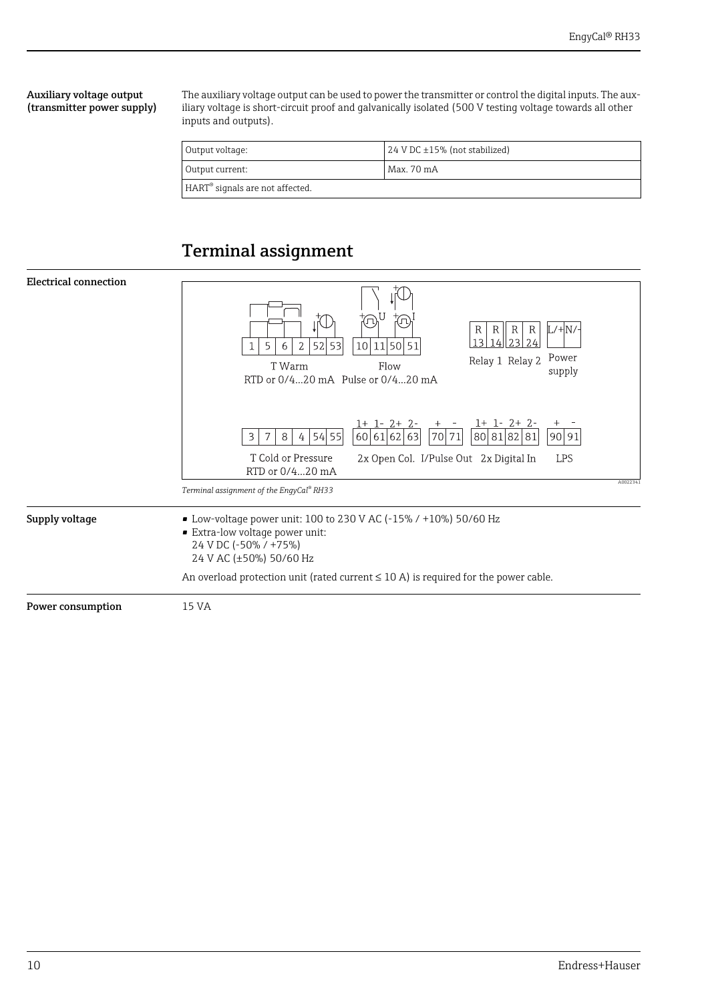#### Auxiliary voltage output (transmitter power supply)

The auxiliary voltage output can be used to power the transmitter or control the digital inputs. The auxiliary voltage is short-circuit proof and galvanically isolated (500 V testing voltage towards all other inputs and outputs).

| Output voltage:                             | $24$ V DC $\pm$ 15% (not stabilized) |
|---------------------------------------------|--------------------------------------|
| Max. 70 mA<br>Output current:               |                                      |
| HART <sup>®</sup> signals are not affected. |                                      |

## Terminal assignment

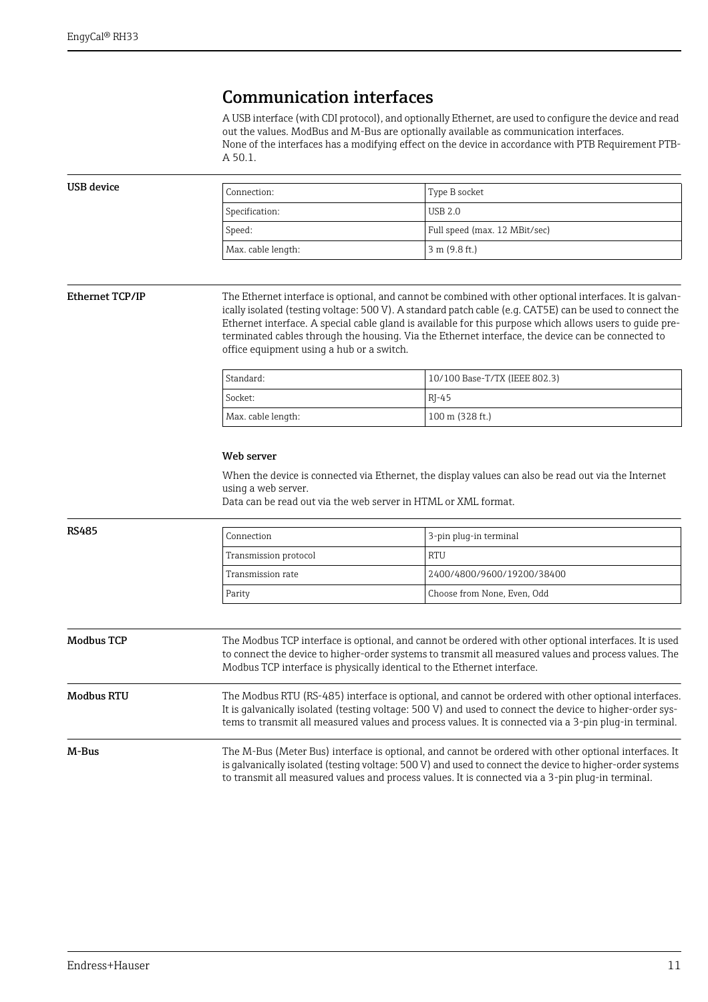### Communication interfaces

A USB interface (with CDI protocol), and optionally Ethernet, are used to configure the device and read out the values. ModBus and M-Bus are optionally available as communication interfaces. None of the interfaces has a modifying effect on the device in accordance with PTB Requirement PTB-A 50.1.

### Connection: Type B socket Specification: USB 2.0 Speed: Full speed (max. 12 MBit/sec) Max. cable length:  $\vert$  3 m (9.8 ft.)

USB device

Ethernet TCP/IP The Ethernet interface is optional, and cannot be combined with other optional interfaces. It is galvanically isolated (testing voltage: 500 V). A standard patch cable (e.g. CAT5E) can be used to connect the Ethernet interface. A special cable gland is available for this purpose which allows users to guide preterminated cables through the housing. Via the Ethernet interface, the device can be connected to office equipment using a hub or a switch.

| Standard:          | 10/100 Base-T/TX (IEEE 802.3) |
|--------------------|-------------------------------|
| Socket:            | $RI-45$                       |
| Max. cable length: | 100 m (328 ft.)               |

#### Web server

When the device is connected via Ethernet, the display values can also be read out via the Internet using a web server.

Data can be read out via the web server in HTML or XML format.

| <b>RS485</b> | Connection            | 3-pin pluq-in terminal      |
|--------------|-----------------------|-----------------------------|
|              | Transmission protocol | <b>RTU</b>                  |
|              | Transmission rate     | 2400/4800/9600/19200/38400  |
|              | Parity                | Choose from None, Even, Odd |
|              |                       |                             |

### Modbus TCP The Modbus TCP interface is optional, and cannot be ordered with other optional interfaces. It is used to connect the device to higher-order systems to transmit all measured values and process values. The Modbus TCP interface is physically identical to the Ethernet interface.

Modbus RTU The Modbus RTU (RS-485) interface is optional, and cannot be ordered with other optional interfaces. It is galvanically isolated (testing voltage: 500 V) and used to connect the device to higher-order systems to transmit all measured values and process values. It is connected via a 3-pin plug-in terminal.

M-Bus The M-Bus (Meter Bus) interface is optional, and cannot be ordered with other optional interfaces. It is galvanically isolated (testing voltage: 500 V) and used to connect the device to higher-order systems to transmit all measured values and process values. It is connected via a 3-pin plug-in terminal.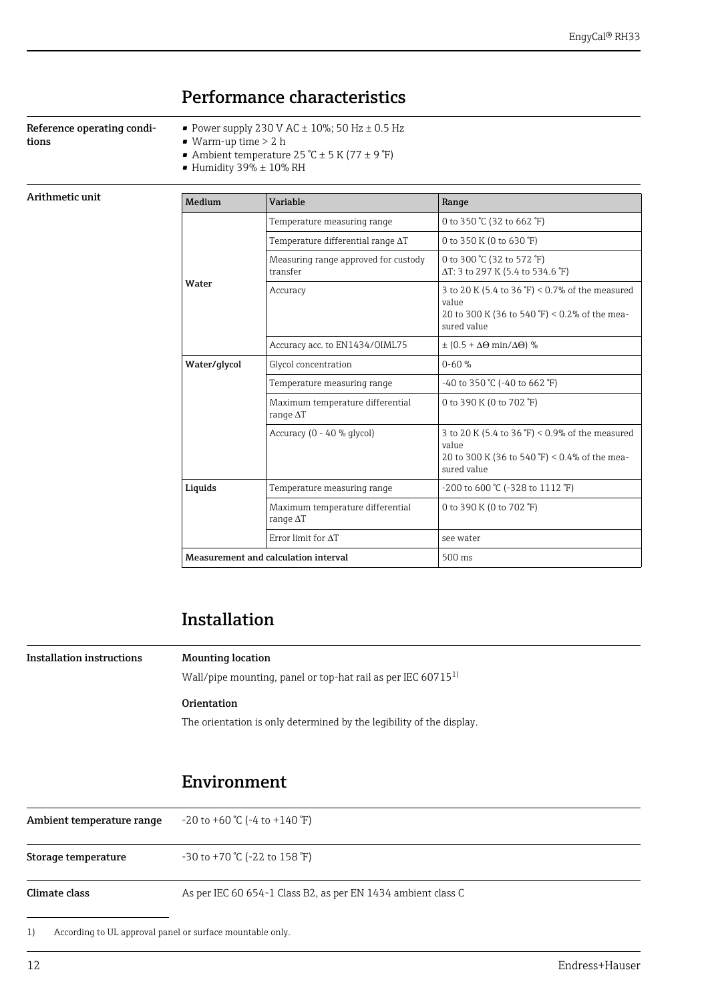## Performance characteristics

Reference operating conditions

- Power supply 230 V AC  $\pm$  10%; 50 Hz  $\pm$  0.5 Hz
- Warm-up time > 2 h
- Ambient temperature 25 °C  $\pm$  5 K (77  $\pm$  9 °F)
- Humidity  $39\% \pm 10\%$  RH

#### Arithmetic unit

| Medium                               | Variable                                             | Range                                                                                                                    |  |
|--------------------------------------|------------------------------------------------------|--------------------------------------------------------------------------------------------------------------------------|--|
|                                      | Temperature measuring range                          | 0 to 350 °C (32 to 662 °F)                                                                                               |  |
|                                      | Temperature differential range $\Delta T$            | 0 to 350 K (0 to 630 °F)                                                                                                 |  |
|                                      | Measuring range approved for custody<br>transfer     | 0 to 300 °C (32 to 572 °F)<br>ΔT: 3 to 297 K (5.4 to 534.6 °F)                                                           |  |
| Water                                | Accuracy                                             | 3 to 20 K (5.4 to 36 °F) < 0.7% of the measured<br>value<br>20 to 300 K (36 to 540 °F) < 0.2% of the mea-<br>sured value |  |
|                                      | Accuracy acc. to EN1434/OIML75                       | $\pm$ (0.5 + $\Delta\Theta$ min/ $\Delta\Theta$ ) %                                                                      |  |
| Water/qlycol                         | Glycol concentration                                 | $0 - 60 %$                                                                                                               |  |
|                                      | Temperature measuring range                          | -40 to 350 °C (-40 to 662 °F)                                                                                            |  |
|                                      | Maximum temperature differential<br>range $\Delta T$ | 0 to 390 K (0 to 702 °F)                                                                                                 |  |
|                                      | Accuracy ( $0 - 40$ % glycol)                        | 3 to 20 K (5.4 to 36 °F) < 0.9% of the measured<br>value<br>20 to 300 K (36 to 540 °F) < 0.4% of the mea-<br>sured value |  |
| Liquids                              | Temperature measuring range                          | -200 to 600 ℃ (-328 to 1112 °F)                                                                                          |  |
|                                      | Maximum temperature differential<br>range $\Delta T$ | 0 to 390 K (0 to 702 °F)                                                                                                 |  |
| Error limit for AT                   |                                                      | see water                                                                                                                |  |
| Measurement and calculation interval |                                                      | 500 ms                                                                                                                   |  |

### Installation

Installation instructions Mounting location

Wall/pipe mounting, panel or top-hat rail as per IEC 607151)

### **Orientation**

The orientation is only determined by the legibility of the display.

## Environment

| Ambient temperature range | $-20$ to $+60$ °C (-4 to $+140$ °F)                          |
|---------------------------|--------------------------------------------------------------|
| Storage temperature       | $-30$ to $+70$ °C ( $-22$ to 158 °F)                         |
| Climate class             | As per IEC 60 654-1 Class B2, as per EN 1434 ambient class C |

1) According to UL approval panel or surface mountable only.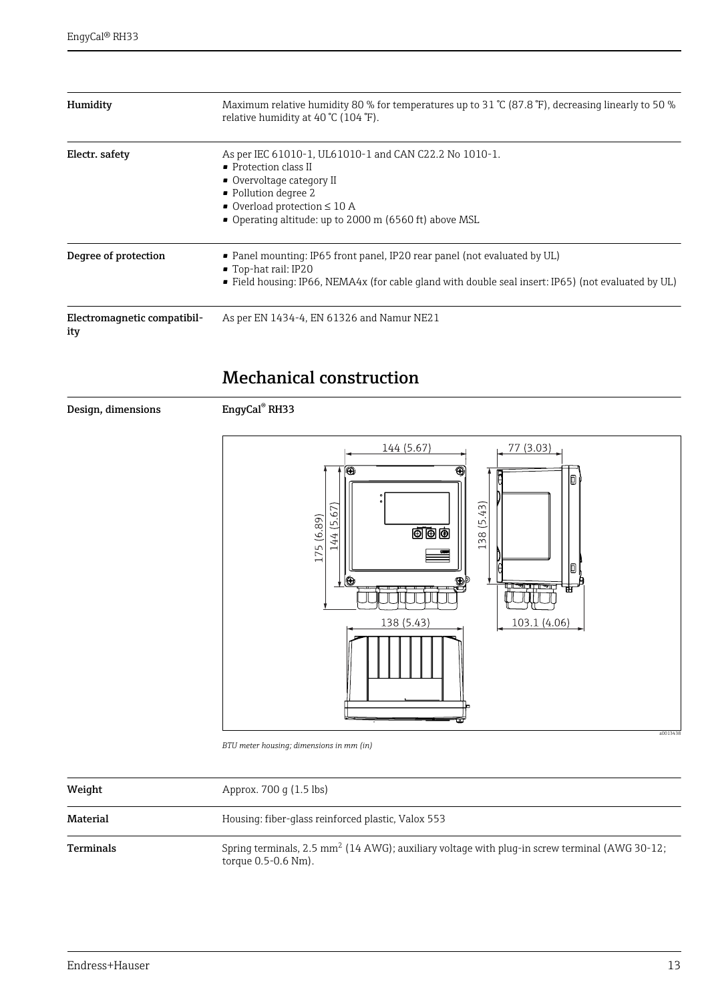| Humidity                           | Maximum relative humidity 80 % for temperatures up to 31 °C (87.8 °F), decreasing linearly to 50 %<br>relative humidity at 40 ℃ (104 °F).                                                                                                   |
|------------------------------------|---------------------------------------------------------------------------------------------------------------------------------------------------------------------------------------------------------------------------------------------|
| Electr. safety                     | As per IEC 61010-1, UL61010-1 and CAN C22.2 No 1010-1.<br>• Protection class II<br>• Overvoltage category II<br>• Pollution degree 2<br>$\bullet$ Overload protection $\leq 10$ A<br>• Operating altitude: up to 2000 m (6560 ft) above MSL |
| Degree of protection               | • Panel mounting: IP65 front panel, IP20 rear panel (not evaluated by UL)<br>■ Top-hat rail: IP20<br>■ Field housing: IP66, NEMA4x (for cable gland with double seal insert: IP65) (not evaluated by UL)                                    |
| Electromagnetic compatibil-<br>ity | As per EN 1434-4, EN 61326 and Namur NE21                                                                                                                                                                                                   |

## Mechanical construction

Design, dimensions EngyCal® RH33



*BTU meter housing; dimensions in mm (in)*

| Weight    | Approx. 700 q (1.5 lbs)                                                                                                         |
|-----------|---------------------------------------------------------------------------------------------------------------------------------|
| Material  | Housing: fiber-glass reinforced plastic, Valox 553                                                                              |
| Terminals | Spring terminals, $2.5 \text{ mm}^2$ (14 AWG); auxiliary voltage with plug-in screw terminal (AWG 30-12;<br>torque 0.5-0.6 Nm). |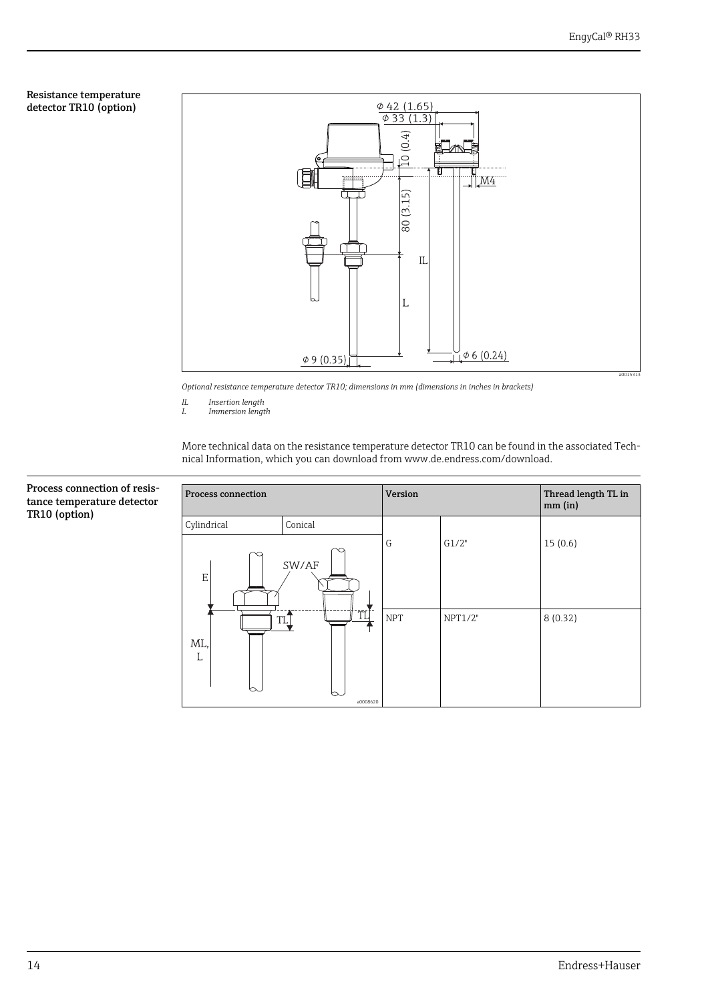#### Resistance temperature detector TR10 (option)



*Optional resistance temperature detector TR10; dimensions in mm (dimensions in inches in brackets)*

*IL Insertion length*

*L Immersion length*

More technical data on the resistance temperature detector TR10 can be found in the associated Technical Information, which you can download from www.de.endress.com/download.

| Cylindrical<br>Conical<br>15(0.6)<br>G<br>G1/2"<br>SW/AF<br>E<br>ΤĪ<br><b>NPT</b><br>8(0.32)<br>NPT1/2"<br>TL<br>ML,<br>L | <b>Process connection</b> |  | Version |  | Thread length TL in<br>mm (in) |
|---------------------------------------------------------------------------------------------------------------------------|---------------------------|--|---------|--|--------------------------------|
|                                                                                                                           |                           |  |         |  |                                |
|                                                                                                                           |                           |  |         |  |                                |
| a0008620                                                                                                                  |                           |  |         |  |                                |

#### Process connection of resistance temperature detector TR10 (option)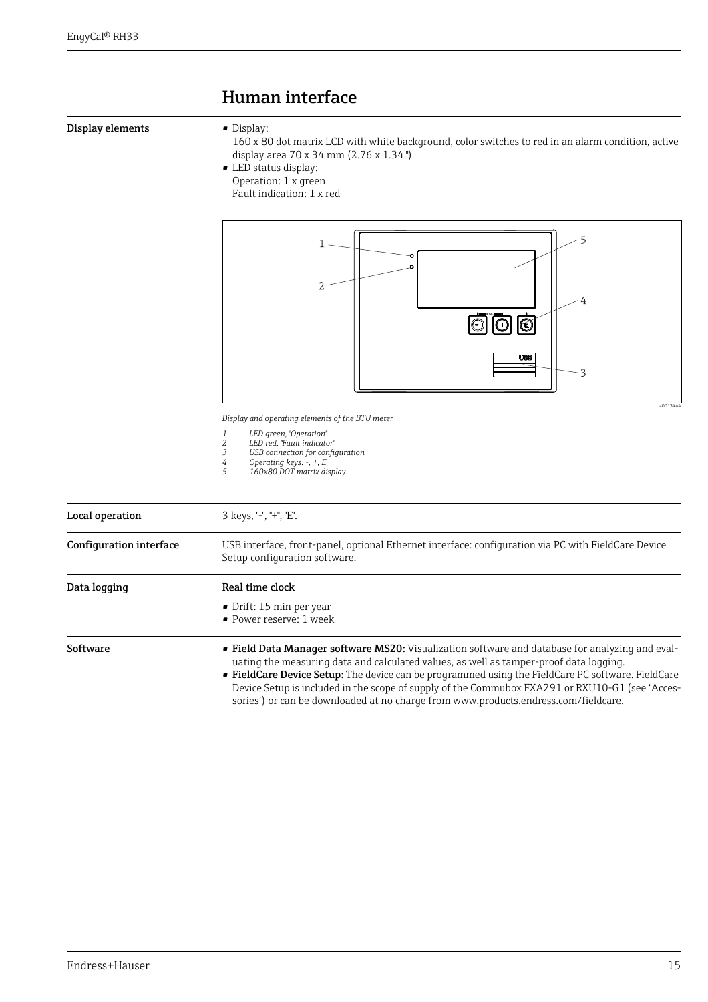## Human interface

#### Display elements • Display:

160 x 80 dot matrix LCD with white background, color switches to red in an alarm condition, active display area 70 x 34 mm (2.76 x 1.34 ")

• LED status display: Operation: 1 x green Fault indication: 1 x red



*Display and operating elements of the BTU meter*

- 
- *1 LED green, "Operation" 2 LED red, "Fault indicator"*
- *3 USB connection for configuration*
- *4 Operating keys: -, +, E 5 160x80 DOT matrix display*
- 

| Local operation         | 3 keys, "-", "+", "E".                                                                                                                                                                                                                                                                                                                                                                                                                                                                 |  |  |
|-------------------------|----------------------------------------------------------------------------------------------------------------------------------------------------------------------------------------------------------------------------------------------------------------------------------------------------------------------------------------------------------------------------------------------------------------------------------------------------------------------------------------|--|--|
| Configuration interface | USB interface, front-panel, optional Ethernet interface: configuration via PC with FieldCare Device<br>Setup configuration software.                                                                                                                                                                                                                                                                                                                                                   |  |  |
| Data logging            | Real time clock                                                                                                                                                                                                                                                                                                                                                                                                                                                                        |  |  |
|                         | $\bullet$ Drift: 15 min per year                                                                                                                                                                                                                                                                                                                                                                                                                                                       |  |  |
|                         | • Power reserve: 1 week                                                                                                                                                                                                                                                                                                                                                                                                                                                                |  |  |
| Software                | • Field Data Manager software MS20: Visualization software and database for analyzing and eval-<br>uating the measuring data and calculated values, as well as tamper-proof data logging.<br>FieldCare Device Setup: The device can be programmed using the FieldCare PC software. FieldCare<br>Device Setup is included in the scope of supply of the Commubox FXA291 or RXU10-G1 (see 'Acces-<br>sories') or can be downloaded at no charge from www.products.endress.com/fieldcare. |  |  |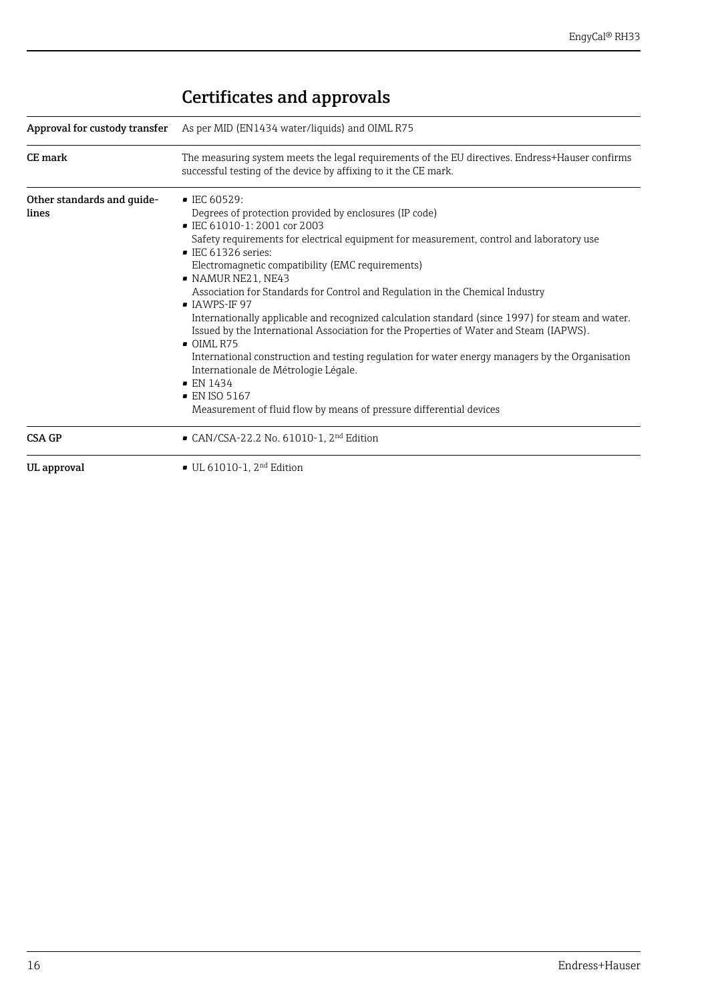|                                     | Approval for custody transfer As per MID (EN1434 water/liquids) and OIML R75                                                                                                                                                                                                                                                                                                                                                                                                                                                                                                                                                                                                                                                                                                                                                                                                                                                               |
|-------------------------------------|--------------------------------------------------------------------------------------------------------------------------------------------------------------------------------------------------------------------------------------------------------------------------------------------------------------------------------------------------------------------------------------------------------------------------------------------------------------------------------------------------------------------------------------------------------------------------------------------------------------------------------------------------------------------------------------------------------------------------------------------------------------------------------------------------------------------------------------------------------------------------------------------------------------------------------------------|
| CE mark                             | The measuring system meets the legal requirements of the EU directives. Endress+Hauser confirms<br>successful testing of the device by affixing to it the CE mark.                                                                                                                                                                                                                                                                                                                                                                                                                                                                                                                                                                                                                                                                                                                                                                         |
| Other standards and guide-<br>lines | $\blacksquare$ IEC 60529:<br>Degrees of protection provided by enclosures (IP code)<br>■ IEC 61010-1: 2001 cor 2003<br>Safety requirements for electrical equipment for measurement, control and laboratory use<br>$\blacksquare$ IEC 61326 series:<br>Electromagnetic compatibility (EMC requirements)<br>· NAMUR NE21, NE43<br>Association for Standards for Control and Regulation in the Chemical Industry<br>$\blacksquare$ IAWPS-IF 97<br>Internationally applicable and recognized calculation standard (since 1997) for steam and water.<br>Issued by the International Association for the Properties of Water and Steam (IAPWS).<br>$\bullet$ OIML R75<br>International construction and testing regulation for water energy managers by the Organisation<br>Internationale de Métrologie Légale.<br>$\blacksquare$ EN 1434<br>$\blacksquare$ EN ISO 5167<br>Measurement of fluid flow by means of pressure differential devices |
| <b>CSA GP</b>                       | ■ CAN/CSA-22.2 No. 61010-1, 2 <sup>nd</sup> Edition                                                                                                                                                                                                                                                                                                                                                                                                                                                                                                                                                                                                                                                                                                                                                                                                                                                                                        |
| UL approval                         | $\bullet$ UL 61010-1, 2 <sup>nd</sup> Edition                                                                                                                                                                                                                                                                                                                                                                                                                                                                                                                                                                                                                                                                                                                                                                                                                                                                                              |

## Certificates and approvals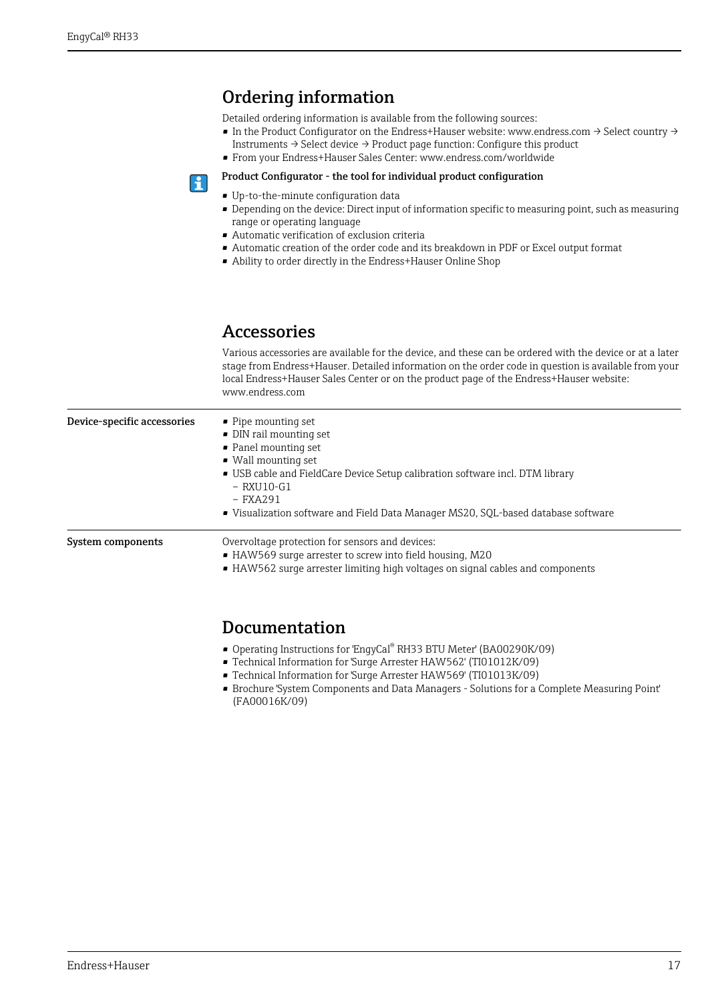## Ordering information

Detailed ordering information is available from the following sources:

- In the Product Configurator on the Endress+Hauser website: www.endress.com → Select country → Instruments → Select device → Product page function: Configure this product
- From your Endress+Hauser Sales Center: www.endress.com/worldwide

#### Product Configurator - the tool for individual product configuration

- Up-to-the-minute configuration data
- Depending on the device: Direct input of information specific to measuring point, such as measuring range or operating language
- Automatic verification of exclusion criteria
- Automatic creation of the order code and its breakdown in PDF or Excel output format
- Ability to order directly in the Endress+Hauser Online Shop

### Accessories

Various accessories are available for the device, and these can be ordered with the device or at a later stage from Endress+Hauser. Detailed information on the order code in question is available from your local Endress+Hauser Sales Center or on the product page of the Endress+Hauser website: www.endress.com

| Device-specific accessories | • Pipe mounting set<br>• DIN rail mounting set<br>• Panel mounting set<br>■ Wall mounting set<br>• USB cable and FieldCare Device Setup calibration software incl. DTM library<br>$-$ RXU10-G1<br>$-$ FXA291<br>• Visualization software and Field Data Manager MS20, SQL-based database software |
|-----------------------------|---------------------------------------------------------------------------------------------------------------------------------------------------------------------------------------------------------------------------------------------------------------------------------------------------|
| <b>System components</b>    | Overvoltage protection for sensors and devices:<br>• HAW569 surge arrester to screw into field housing, M20<br>• HAW562 surge arrester limiting high voltages on signal cables and components                                                                                                     |

### Documentation

- Operating Instructions for 'EngyCal® RH33 BTU Meter' (BA00290K/09)
- Technical Information for 'Surge Arrester HAW562' (TI01012K/09)
- Technical Information for 'Surge Arrester HAW569' (TI01013K/09)
- Brochure 'System Components and Data Managers Solutions for a Complete Measuring Point' (FA00016K/09)